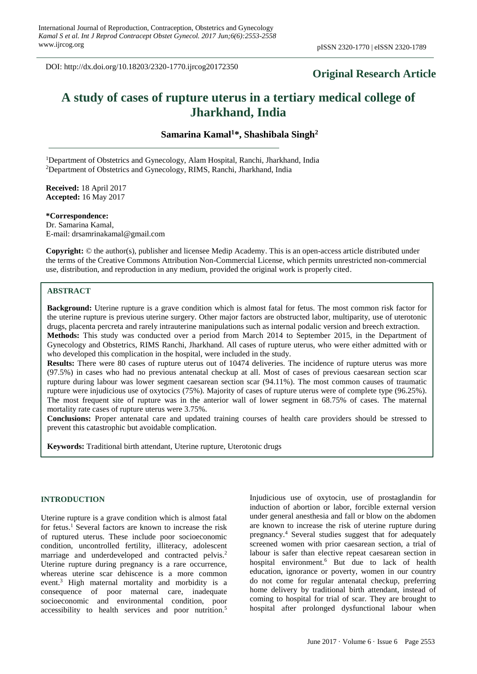## **Original Research Article**

# **A study of cases of rupture uterus in a tertiary medical college of Jharkhand, India**

**Samarina Kamal<sup>1</sup>\*, Shashibala Singh<sup>2</sup>**

<sup>1</sup>Department of Obstetrics and Gynecology, Alam Hospital, Ranchi, Jharkhand, India <sup>2</sup>Department of Obstetrics and Gynecology, RIMS, Ranchi, Jharkhand, India

**Received:** 18 April 2017 **Accepted:** 16 May 2017

**\*Correspondence:** Dr. Samarina Kamal, E-mail: drsamrinakamal@gmail.com

**Copyright:** © the author(s), publisher and licensee Medip Academy. This is an open-access article distributed under the terms of the Creative Commons Attribution Non-Commercial License, which permits unrestricted non-commercial use, distribution, and reproduction in any medium, provided the original work is properly cited.

## **ABSTRACT**

**Background:** Uterine rupture is a grave condition which is almost fatal for fetus. The most common risk factor for the uterine rupture is previous uterine surgery. Other major factors are obstructed labor, multiparity, use of uterotonic drugs, placenta percreta and rarely intrauterine manipulations such as internal podalic version and breech extraction. **Methods:** This study was conducted over a period from March 2014 to September 2015, in the Department of Gynecology and Obstetrics, RIMS Ranchi, Jharkhand. All cases of rupture uterus, who were either admitted with or who developed this complication in the hospital, were included in the study.

**Results:** There were 80 cases of rupture uterus out of 10474 deliveries. The incidence of rupture uterus was more (97.5%) in cases who had no previous antenatal checkup at all. Most of cases of previous caesarean section scar rupture during labour was lower segment caesarean section scar (94.11%). The most common causes of traumatic rupture were injudicious use of oxytocics (75%). Majority of cases of rupture uterus were of complete type (96.25%). The most frequent site of rupture was in the anterior wall of lower segment in 68.75% of cases. The maternal mortality rate cases of rupture uterus were 3.75%.

**Conclusions:** Proper antenatal care and updated training courses of health care providers should be stressed to prevent this catastrophic but avoidable complication.

**Keywords:** Traditional birth attendant, Uterine rupture, Uterotonic drugs

## **INTRODUCTION**

Uterine rupture is a grave condition which is almost fatal for fetus. <sup>1</sup> Several factors are known to increase the risk of ruptured uterus. These include poor socioeconomic condition, uncontrolled fertility, illiteracy, adolescent marriage and underdeveloped and contracted pelvis.<sup>2</sup> Uterine rupture during pregnancy is a rare occurrence, whereas uterine scar dehiscence is a more common event.<sup>3</sup> High maternal mortality and morbidity is a consequence of poor maternal care, inadequate socioeconomic and environmental condition, poor accessibility to health services and poor nutrition. 5

Injudicious use of oxytocin, use of prostaglandin for induction of abortion or labor, forcible external version under general anesthesia and fall or blow on the abdomen are known to increase the risk of uterine rupture during pregnancy.<sup>4</sup> Several studies suggest that for adequately screened women with prior caesarean section, a trial of labour is safer than elective repeat caesarean section in hospital environment.<sup>6</sup> But due to lack of health education, ignorance or poverty, women in our country do not come for regular antenatal checkup, preferring home delivery by traditional birth attendant, instead of coming to hospital for trial of scar. They are brought to hospital after prolonged dysfunctional labour when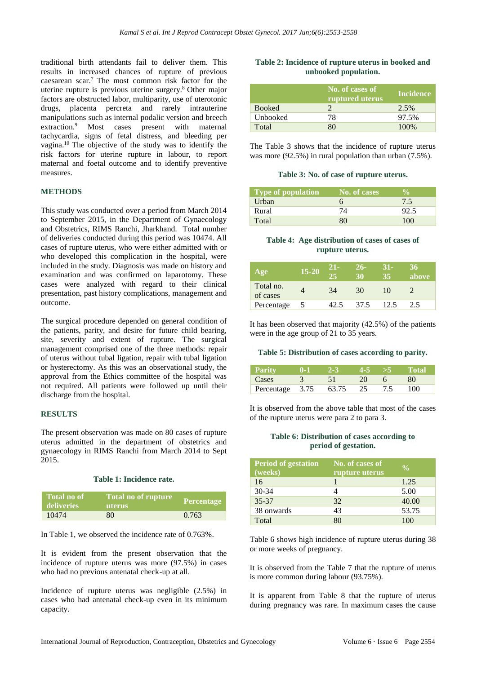traditional birth attendants fail to deliver them. This results in increased chances of rupture of previous caesarean scar.<sup>7</sup> The most common risk factor for the uterine rupture is previous uterine surgery.<sup>8</sup> Other major factors are obstructed labor, multiparity, use of uterotonic drugs, placenta percreta and rarely intrauterine manipulations such as internal podalic version and breech extraction.<sup>9</sup> Most cases present with maternal tachycardia, signs of fetal distress, and bleeding per vagina.<sup>10</sup> The objective of the study was to identify the risk factors for uterine rupture in labour, to report maternal and foetal outcome and to identify preventive measures.

## **METHODS**

This study was conducted over a period from March 2014 to September 2015, in the Department of Gynaecology and Obstetrics, RIMS Ranchi, Jharkhand. Total number of deliveries conducted during this period was 10474. All cases of rupture uterus, who were either admitted with or who developed this complication in the hospital, were included in the study. Diagnosis was made on history and examination and was confirmed on laparotomy. These cases were analyzed with regard to their clinical presentation, past history complications, management and outcome.

The surgical procedure depended on general condition of the patients, parity, and desire for future child bearing, site, severity and extent of rupture. The surgical management comprised one of the three methods: repair of uterus without tubal ligation, repair with tubal ligation or hysterectomy. As this was an observational study, the approval from the Ethics committee of the hospital was not required. All patients were followed up until their discharge from the hospital.

## **RESULTS**

The present observation was made on 80 cases of rupture uterus admitted in the department of obstetrics and gynaecology in RIMS Ranchi from March 2014 to Sept 2015.

#### **Table 1: Incidence rate.**

| Total no of<br>deliveries | 'Total no of rupture<br>uterus | <b>Percentage</b> |
|---------------------------|--------------------------------|-------------------|
| 10474                     | 80                             | 0.763             |

In Table 1, we observed the incidence rate of 0.763%.

It is evident from the present observation that the incidence of rupture uterus was more (97.5%) in cases who had no previous antenatal check-up at all.

Incidence of rupture uterus was negligible (2.5%) in cases who had antenatal check-up even in its minimum capacity.

## **Table 2: Incidence of rupture uterus in booked and unbooked population.**

|               | No. of cases of<br>ruptured uterus | <b>Incidence</b> |
|---------------|------------------------------------|------------------|
| <b>Booked</b> |                                    | 2.5%             |
| Unbooked      | 78                                 | 97.5%            |
| Total         |                                    | 100%             |

The Table 3 shows that the incidence of rupture uterus was more (92.5%) in rural population than urban (7.5%).

#### **Table 3: No. of case of rupture uterus.**

| <b>Type of population</b> | No. of cases | V.  |
|---------------------------|--------------|-----|
| Urban                     |              | 7.5 |
| Rural                     |              |     |
| Total                     |              | 100 |

## **Table 4: Age distribution of cases of cases of rupture uterus.**

| Age                   | $15 - 20$ | 21-<br>25 | 26-<br>30 | 31-<br>35 | 36<br>above |
|-----------------------|-----------|-----------|-----------|-----------|-------------|
| Total no.<br>of cases |           | 34        | 30        | 10        |             |
| Percentage            |           |           | 37.5      | 12.5      | 2.5         |

It has been observed that majority (42.5%) of the patients were in the age group of 21 to 35 years.

#### **Table 5: Distribution of cases according to parity.**

| - Parity        | -2-3  |    | 557 | - Total |
|-----------------|-------|----|-----|---------|
| Cases           |       | 20 |     |         |
| Percentage 3.75 | 63.75 | 25 | 7.5 | 100     |

It is observed from the above table that most of the cases of the rupture uterus were para 2 to para 3.

#### **Table 6: Distribution of cases according to period of gestation.**

| <b>Period of gestation</b><br>(weeks) | No. of cases of<br>rupture uterus | $\frac{0}{0}$ |
|---------------------------------------|-----------------------------------|---------------|
| 16                                    |                                   | 1.25          |
| $30 - 34$                             |                                   | 5.00          |
| 35-37                                 | 32                                | 40.00         |
| 38 onwards                            | 43                                | 53.75         |
| Total                                 |                                   | 100           |

Table 6 shows high incidence of rupture uterus during 38 or more weeks of pregnancy.

It is observed from the Table 7 that the rupture of uterus is more common during labour (93.75%).

It is apparent from Table 8 that the rupture of uterus during pregnancy was rare. In maximum cases the cause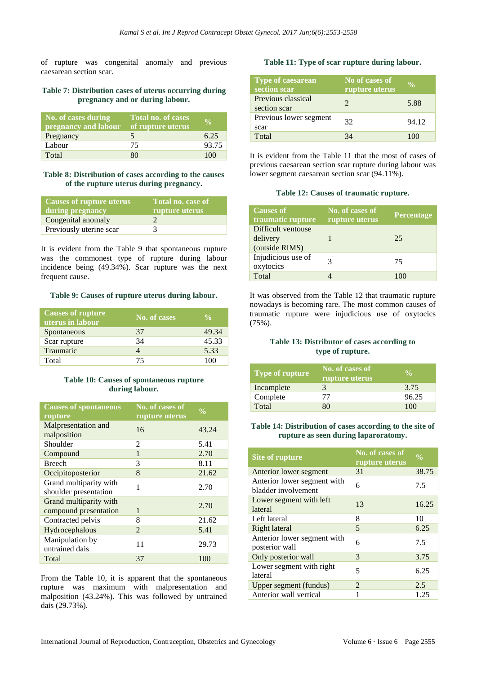of rupture was congenital anomaly and previous caesarean section scar.

## **Table 7: Distribution cases of uterus occurring during pregnancy and or during labour.**

| No. of cases during<br>pregnancy and labour | Total no. of cases<br>of rupture uterus | $0/_{\alpha}$ |
|---------------------------------------------|-----------------------------------------|---------------|
| Pregnancy                                   |                                         | 6.25          |
| Labour                                      | 75                                      | 93.75         |
| Total                                       | 80                                      | 100           |

#### **Table 8: Distribution of cases according to the causes of the rupture uterus during pregnancy.**

| <b>Causes of rupture uterus</b><br>during pregnancy | Total no. case of<br>rupture uterus |
|-----------------------------------------------------|-------------------------------------|
| Congenital anomaly                                  |                                     |
| Previously uterine scar                             |                                     |

It is evident from the Table 9 that spontaneous rupture was the commonest type of rupture during labour incidence being (49.34%). Scar rupture was the next frequent cause.

#### **Table 9: Causes of rupture uterus during labour.**

| <b>Causes of rupture</b><br>uterus in labour | No. of cases | $\frac{0}{0}$ |
|----------------------------------------------|--------------|---------------|
| Spontaneous                                  | 37           | 49.34         |
| Scar rupture                                 | 34           | 45.33         |
| Traumatic                                    |              | 5.33          |
| Total                                        | 75           | 100           |

## **Table 10: Causes of spontaneous rupture during labour.**

| <b>Causes of spontaneous</b><br>rupture         | No. of cases of<br>rupture uterus | $\frac{0}{0}$ |
|-------------------------------------------------|-----------------------------------|---------------|
| Malpresentation and<br>malposition              | 16                                | 43.24         |
| Shoulder                                        | $\mathfrak{D}$                    | 5.41          |
| Compound                                        | $\mathbf{1}$                      | 2.70          |
| <b>Breech</b>                                   | 3                                 | 8.11          |
| Occipitoposterior                               | 8                                 | 21.62         |
| Grand multiparity with<br>shoulder presentation | 1                                 | 2.70          |
| Grand multiparity with<br>compound presentation | $\mathbf{1}$                      | 2.70          |
| Contracted pelvis                               | 8                                 | 21.62         |
| Hydrocephalous                                  | $\overline{2}$                    | 5.41          |
| Manipulation by<br>untrained dais               | 11                                | 29.73         |
| Total                                           | 37                                | 100           |

From the Table 10, it is apparent that the spontaneous rupture was maximum with malpresentation and malposition (43.24%). This was followed by untrained dais (29.73%).

## **Table 11: Type of scar rupture during labour.**

| <b>Type of caesarean</b><br>section scar | No of cases of<br>rupture uterus | $\frac{0}{\alpha}$ |
|------------------------------------------|----------------------------------|--------------------|
| Previous classical<br>section scar       | 2                                | 5.88               |
| Previous lower segment<br>scar           | 32                               | 94.12              |
| Total                                    | 34                               | 100                |

It is evident from the Table 11 that the most of cases of previous caesarean section scar rupture during labour was lower segment caesarean section scar (94.11%).

#### **Table 12: Causes of traumatic rupture.**

| <b>Causes of</b><br>traumatic rupture            | No. of cases of<br>rupture uterus | <b>Percentage</b> |
|--------------------------------------------------|-----------------------------------|-------------------|
| Difficult ventouse<br>delivery<br>(outside RIMS) |                                   | 25                |
| Injudicious use of<br>oxytocics                  |                                   | 75                |
| Total                                            |                                   | 100               |

It was observed from the Table 12 that traumatic rupture nowadays is becoming rare. The most common causes of traumatic rupture were injudicious use of oxytocics (75%).

## **Table 13: Distributor of cases according to type of rupture.**

| <b>Type of rupture</b> | No. of cases of<br>rupture uterus | $\frac{0}{\pi}$ |
|------------------------|-----------------------------------|-----------------|
| Incomplete             |                                   | 3.75            |
| Complete               |                                   | 96.25           |
| Total                  |                                   | 100             |

#### **Table 14: Distribution of cases according to the site of rupture as seen during laparoratomy.**

| Site of rupture                                    | No. of cases of<br>rupture uterus | $\frac{6}{10}$ |
|----------------------------------------------------|-----------------------------------|----------------|
| Anterior lower segment                             | 31                                | 38.75          |
| Anterior lower segment with<br>bladder involvement | 6                                 | 7.5            |
| Lower segment with left<br>lateral                 | 13                                | 16.25          |
| Left lateral                                       | 8                                 | 10             |
| Right lateral                                      | 5                                 | 6.25           |
| Anterior lower segment with<br>posterior wall      | 6                                 | 7.5            |
| Only posterior wall                                | 3                                 | 3.75           |
| Lower segment with right<br>lateral                | 5                                 | 6.25           |
| Upper segment (fundus)                             | $\mathcal{L}$                     | 2.5            |
| Anterior wall vertical                             |                                   | 1.25           |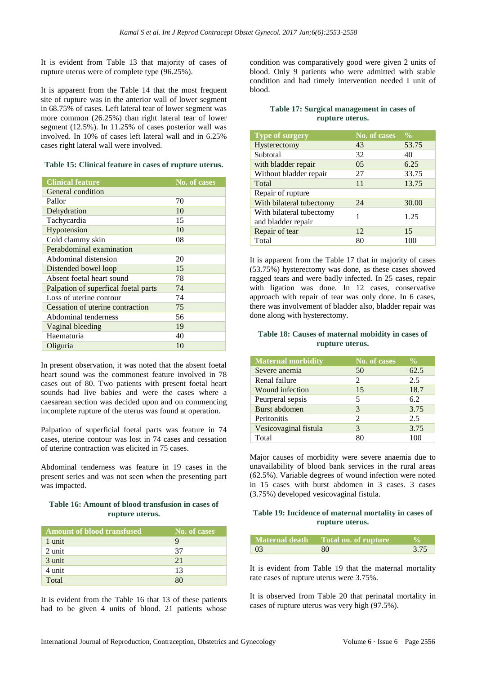It is evident from Table 13 that majority of cases of rupture uterus were of complete type (96.25%).

It is apparent from the Table 14 that the most frequent site of rupture was in the anterior wall of lower segment in 68.75% of cases. Left lateral tear of lower segment was more common (26.25%) than right lateral tear of lower segment (12.5%). In 11.25% of cases posterior wall was involved. In 10% of cases left lateral wall and in 6.25% cases right lateral wall were involved.

#### **Table 15: Clinical feature in cases of rupture uterus.**

| <b>Clinical feature</b>              | No. of cases |
|--------------------------------------|--------------|
| General condition                    |              |
| Pallor                               | 70           |
| Dehydration                          | 10           |
| Tachycardia                          | 15           |
| Hypotension                          | 10           |
| Cold clammy skin                     | 08           |
| Perabdominal examination             |              |
| Abdominal distension                 | 20           |
| Distended bowel loop                 | 15           |
| Absent foetal heart sound            | 78           |
| Palpation of superfical foetal parts | 74           |
| Loss of uterine contour              | 74           |
| Cessation of uterine contraction     | 75           |
| Abdominal tenderness                 | 56           |
| Vaginal bleeding                     | 19           |
| Haematuria                           | 40           |
| Oliguria                             | 10           |

In present observation, it was noted that the absent foetal heart sound was the commonest feature involved in 78 cases out of 80. Two patients with present foetal heart sounds had live babies and were the cases where a caesarean section was decided upon and on commencing incomplete rupture of the uterus was found at operation.

Palpation of superficial foetal parts was feature in 74 cases, uterine contour was lost in 74 cases and cessation of uterine contraction was elicited in 75 cases.

Abdominal tenderness was feature in 19 cases in the present series and was not seen when the presenting part was impacted.

## **Table 16: Amount of blood transfusion in cases of rupture uterus.**

| <b>Amount of blood transfused</b> | No. of cases |
|-----------------------------------|--------------|
| 1 unit                            |              |
| 2 unit                            | 37           |
| 3 unit                            | 21           |
| 4 unit                            | 13           |
| Total                             |              |

It is evident from the Table 16 that 13 of these patients had to be given 4 units of blood. 21 patients whose condition was comparatively good were given 2 units of blood. Only 9 patients who were admitted with stable condition and had timely intervention needed I unit of blood.

#### **Table 17: Surgical management in cases of rupture uterus.**

| <b>Type of surgery</b>                         | <b>No. of cases</b> | $\frac{0}{0}$ |
|------------------------------------------------|---------------------|---------------|
| Hysterectomy                                   | 43                  | 53.75         |
| Subtotal                                       | 32                  | 40            |
| with bladder repair                            | $0.5^{\circ}$       | 6.25          |
| Without bladder repair                         | 27                  | 33.75         |
| Total                                          | 11                  | 13.75         |
| Repair of rupture                              |                     |               |
| With bilateral tubectomy                       | 24                  | 30.00         |
| With bilateral tubectomy<br>and bladder repair |                     | 1.25          |
| Repair of tear                                 | 12                  | 15            |
| Total                                          | 80                  | 100           |

It is apparent from the Table 17 that in majority of cases (53.75%) hysterectomy was done, as these cases showed ragged tears and were badly infected. In 25 cases, repair with ligation was done. In 12 cases, conservative approach with repair of tear was only done. In 6 cases, there was involvement of bladder also, bladder repair was done along with hysterectomy.

## **Table 18: Causes of maternal mobidity in cases of rupture uterus.**

| <b>Maternal morbidity</b> | <b>No. of cases</b> | $\frac{0}{0}$ |
|---------------------------|---------------------|---------------|
| Severe anemia             | 50                  | 62.5          |
| Renal failure             | $\mathcal{L}$       | 2.5           |
| Wound infection           | 15                  | 18.7          |
| Peurperal sepsis          | 5                   | 6.2           |
| Burst abdomen             | 3                   | 3.75          |
| Peritonitis               | $\mathcal{L}$       | 2.5           |
| Vesicovaginal fistula     | 3                   | 3.75          |
| Total                     |                     |               |

Major causes of morbidity were severe anaemia due to unavailability of blood bank services in the rural areas (62.5%). Variable degrees of wound infection were noted in 15 cases with burst abdomen in 3 cases. 3 cases (3.75%) developed vesicovaginal fistula.

## **Table 19: Incidence of maternal mortality in cases of rupture uterus.**

|           | Maternal death Total no. of rupture |      |
|-----------|-------------------------------------|------|
| $\bigcap$ | 80                                  | 3.75 |

It is evident from Table 19 that the maternal mortality rate cases of rupture uterus were 3.75%.

It is observed from Table 20 that perinatal mortality in cases of rupture uterus was very high (97.5%).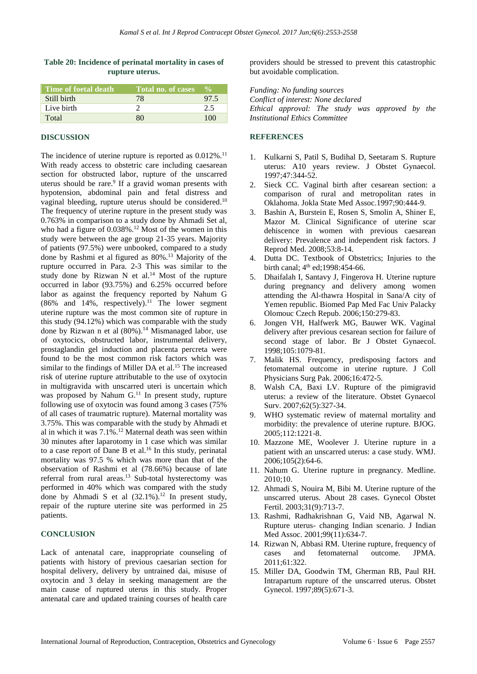#### **Table 20: Incidence of perinatal mortality in cases of rupture uterus.**

| Time of foetal death | Total no. of cases | $\mathbf{v}_{\alpha}$ |
|----------------------|--------------------|-----------------------|
| Still birth          | 78                 | 97.5                  |
| Live birth           |                    | 25                    |
| Total                |                    | 100                   |

#### **DISCUSSION**

The incidence of uterine rupture is reported as  $0.012\%$ .<sup>11</sup> With ready access to obstetric care including caesarean section for obstructed labor, rupture of the unscarred uterus should be rare.<sup>9</sup> If a gravid woman presents with hypotension, abdominal pain and fetal distress and vaginal bleeding, rupture uterus should be considered.<sup>10</sup> The frequency of uterine rupture in the present study was 0.763% in comparison to a study done by Ahmadi Set al, who had a figure of 0.038%.<sup>12</sup> Most of the women in this study were between the age group 21-35 years. Majority of patients (97.5%) were unbooked, compared to a study done by Rashmi et al figured as 80%.<sup>13</sup> Majority of the rupture occurred in Para. 2-3 This was similar to the study done by Rizwan N et al.<sup>14</sup> Most of the rupture occurred in labor (93.75%) and 6.25% occurred before labor as against the frequency reported by Nahum G  $(86\%$  and 14%, respectively).<sup>11</sup> The lower segment uterine rupture was the most common site of rupture in this study (94.12%) which was comparable with the study done by Rizwan n et al (80%).<sup>14</sup> Mismanaged labor, use of oxytocics, obstructed labor, instrumental delivery, prostaglandin gel induction and placenta percreta were found to be the most common risk factors which was similar to the findings of Miller DA et al.<sup>15</sup> The increased risk of uterine rupture attributable to the use of oxytocin in multigravida with unscarred uteri is uncertain which was proposed by Nahum G.<sup>11</sup> In present study, rupture following use of oxytocin was found among 3 cases (75% of all cases of traumatric rupture). Maternal mortality was 3.75%. This was comparable with the study by Ahmadi et al in which it was 7.1%.<sup>12</sup> Maternal death was seen within 30 minutes after laparotomy in 1 case which was similar to a case report of Dane B et al. <sup>16</sup> In this study, perinatal mortality was 97.5 % which was more than that of the observation of Rashmi et al (78.66%) because of late referral from rural areas.<sup>13</sup> Sub-total hysterectomy was performed in 40% which was compared with the study done by Ahmadi S et al  $(32.1\%)$ .<sup>12</sup> In present study, repair of the rupture uterine site was performed in 25 patients.

#### **CONCLUSION**

Lack of antenatal care, inappropriate counseling of patients with history of previous caesarian section for hospital delivery, delivery by untrained dai, misuse of oxytocin and 3 delay in seeking management are the main cause of ruptured uterus in this study. Proper antenatal care and updated training courses of health care providers should be stressed to prevent this catastrophic but avoidable complication.

*Funding: No funding sources Conflict of interest: None declared Ethical approval: The study was approved by the Institutional Ethics Committee*

#### **REFERENCES**

- 1. Kulkarni S, Patil S, Budihal D, Seetaram S. Rupture uterus: A10 years review. J Obstet Gynaecol. 1997;47:344-52.
- 2. Sieck CC. Vaginal birth after cesarean section: a comparison of rural and metropolitan rates in Oklahoma. Jokla State Med Assoc.1997;90:444-9.
- 3. Bashin A, Burstein E, Rosen S, Smolin A, Shiner E, Mazor M. Clinical Significance of uterine scar dehiscence in women with previous caesarean delivery: Prevalence and independent risk factors. J Reprod Med. 2008;53:8-14.
- 4. Dutta DC. Textbook of Obstetrics; Injuries to the birth canal;  $4^{th}$  ed; 1998: 454-66.
- 5. Dhaifalah I, Santavy J, Fingerova H. Uterine rupture during pregnancy and delivery among women attending the Al-thawra Hospital in Sana/A city of Yemen republic. Biomed Pap Med Fac Univ Palacky Olomouc Czech Repub. 2006;150:279-83.
- 6. Jongen VH, Halfwerk MG, Bauwer WK. Vaginal delivery after previous cesarean section for failure of second stage of labor. Br J Obstet Gynaecol. 1998;105:1079-81.
- 7. Malik HS. Frequency, predisposing factors and fetomaternal outcome in uterine rupture. J Coll Physicians Surg Pak. 2006;16:472-5.
- 8. Walsh CA, Baxi LV. Rupture of the pimigravid uterus: a review of the literature. Obstet Gynaecol Surv. 2007;62(5):327-34.
- 9. WHO systematic review of maternal mortality and morbidity: the prevalence of uterine rupture. BJOG. 2005;112:1221-8.
- 10. Mazzone ME, Woolever J. Uterine rupture in a patient with an unscarred uterus: a case study. WMJ. 2006;105(2):64-6.
- 11. Nahum G. Uterine rupture in pregnancy. Medline. 2010;10.
- 12. Ahmadi S, Nouira M, Bibi M. Uterine rupture of the unscarred uterus. About 28 cases. Gynecol Obstet Fertil. 2003;31(9):713-7.
- 13. Rashmi, Radhakrishnan G, Vaid NB, Agarwal N. Rupture uterus- changing Indian scenario. J Indian Med Assoc. 2001;99(11):634-7.
- 14. Rizwan N, Abbasi RM. Uterine rupture, frequency of cases and fetomaternal outcome. JPMA. 2011;61:322.
- 15. Miller DA, Goodwin TM, Gherman RB, Paul RH. Intrapartum rupture of the unscarred uterus. Obstet Gynecol. 1997;89(5):671-3.